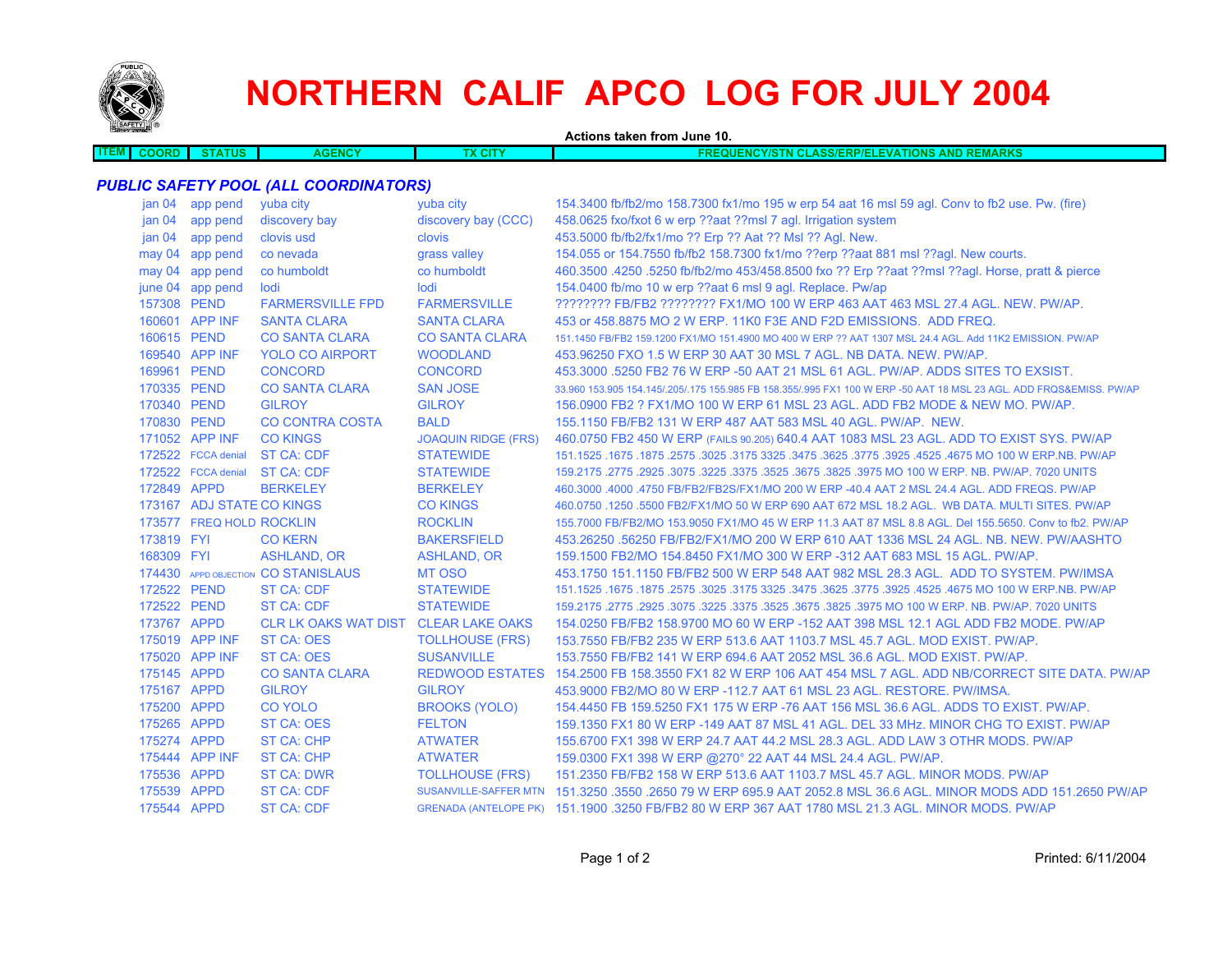

## **NORTHERN CALIF APCO LOG FOR JULY 2004**

| <b>Separate Contract Contract Contract Contract Contract Contract Contract Contract Contract Contract Contract Contract Contract Contract Contract Contract Contract Contract Contract Contract Contract Contract Contract Contr</b> |                           |                                              |                            | Actions taken from June 10.                                                                                         |
|--------------------------------------------------------------------------------------------------------------------------------------------------------------------------------------------------------------------------------------|---------------------------|----------------------------------------------|----------------------------|---------------------------------------------------------------------------------------------------------------------|
| <b>ITEM</b><br><b>COORD</b>                                                                                                                                                                                                          | <b>STATUS</b>             | <b>AGENCY</b>                                | <b>TX CITY</b>             | <b>FREQUENCY/STN CLASS/ERP/ELEVATIONS AND REMARKS</b>                                                               |
|                                                                                                                                                                                                                                      |                           |                                              |                            |                                                                                                                     |
|                                                                                                                                                                                                                                      |                           | <b>PUBLIC SAFETY POOL (ALL COORDINATORS)</b> |                            |                                                                                                                     |
|                                                                                                                                                                                                                                      | jan 04 app pend           | yuba city                                    | yuba city                  | 154.3400 fb/fb2/mo 158.7300 fx1/mo 195 w erp 54 aat 16 msl 59 agl. Conv to fb2 use. Pw. (fire)                      |
| jan <sub>04</sub>                                                                                                                                                                                                                    | app pend                  | discovery bay                                | discovery bay (CCC)        | 458.0625 fxo/fxot 6 w erp ??aat ??msl 7 agl. Irrigation system                                                      |
| jan <sub>04</sub>                                                                                                                                                                                                                    | app pend                  | clovis usd                                   | clovis                     | 453.5000 fb/fb2/fx1/mo ?? Erp ?? Aat ?? Msl ?? Agl. New.                                                            |
|                                                                                                                                                                                                                                      | may 04 app pend           | co nevada                                    | grass valley               | 154.055 or 154.7550 fb/fb2 158.7300 fx1/mo ??erp ??aat 881 msl ??agl. New courts.                                   |
|                                                                                                                                                                                                                                      | may 04 app pend           | co humboldt                                  | co humboldt                | 460.3500 .4250 .5250 fb/fb2/mo 453/458.8500 fxo ?? Erp ??aat ??msl ??aql. Horse, pratt & pierce                     |
|                                                                                                                                                                                                                                      | june 04 app pend          | lodi                                         | lodi                       | 154.0400 fb/mo 10 w erp ??aat 6 msl 9 agl. Replace. Pw/ap                                                           |
| 157308 PEND                                                                                                                                                                                                                          |                           | <b>FARMERSVILLE FPD</b>                      | <b>FARMERSVILLE</b>        | ???????? FB/FB2 ???????? FX1/MO 100 W ERP 463 AAT 463 MSL 27.4 AGL. NEW. PW/AP.                                     |
|                                                                                                                                                                                                                                      | 160601 APP INF            | <b>SANTA CLARA</b>                           | <b>SANTA CLARA</b>         | 453 or 458,8875 MO 2 W ERP, 11K0 F3E AND F2D EMISSIONS. ADD FREQ.                                                   |
| 160615 PEND                                                                                                                                                                                                                          |                           | <b>CO SANTA CLARA</b>                        | <b>CO SANTA CLARA</b>      | 151.1450 FB/FB2 159.1200 FX1/MO 151.4900 MO 400 W ERP ?? AAT 1307 MSL 24.4 AGL, Add 11K2 EMISSION, PW/AP            |
|                                                                                                                                                                                                                                      | 169540 APP INF            | <b>YOLO CO AIRPORT</b>                       | <b>WOODLAND</b>            | 453,96250 FXO 1.5 W ERP 30 AAT 30 MSL 7 AGL, NB DATA, NEW, PW/AP.                                                   |
| 169961 PEND                                                                                                                                                                                                                          |                           | <b>CONCORD</b>                               | <b>CONCORD</b>             | 453.3000 .5250 FB2 76 W ERP -50 AAT 21 MSL 61 AGL. PW/AP. ADDS SITES TO EXSIST.                                     |
| 170335 PEND                                                                                                                                                                                                                          |                           | <b>CO SANTA CLARA</b>                        | <b>SAN JOSE</b>            | 33.960 153.905 154.145/.205/.175 155.985 FB 158.355/.995 FX1 100 W ERP -50 AAT 18 MSL 23 AGL. ADD FRQS&EMISS. PW/AP |
| 170340 PEND                                                                                                                                                                                                                          |                           | <b>GILROY</b>                                | <b>GILROY</b>              | 156,0900 FB2 ? FX1/MO 100 W ERP 61 MSL 23 AGL, ADD FB2 MODE & NEW MO, PW/AP.                                        |
| 170830 PEND                                                                                                                                                                                                                          |                           | <b>CO CONTRA COSTA</b>                       | <b>BALD</b>                | 155,1150 FB/FB2 131 W ERP 487 AAT 583 MSL 40 AGL, PW/AP, NEW.                                                       |
|                                                                                                                                                                                                                                      | 171052 APP INF            | <b>CO KINGS</b>                              | <b>JOAQUIN RIDGE (FRS)</b> | 460.0750 FB2 450 W ERP (FAILS 90.205) 640.4 AAT 1083 MSL 23 AGL. ADD TO EXIST SYS. PW/AP                            |
|                                                                                                                                                                                                                                      | 172522 FCCA denial        | ST CA: CDF                                   | <b>STATEWIDE</b>           | 151.1525 .1675 NO 100 W ERP.NB. PW/AP .2575 .3625 .3475 .3475 .3625 .3475 .3625 .3025 .1675 .1675 .1675 .1675       |
|                                                                                                                                                                                                                                      | 172522 FCCA denial        | <b>ST CA: CDF</b>                            | <b>STATEWIDE</b>           | 159.2175 .2775 .2925 .3075 .3225 .3575 .3525 .3675 .3825 .3975 MO 100 W ERP. NB. PW/AP. 7020 UNITS                  |
| 172849 APPD                                                                                                                                                                                                                          |                           | <b>BERKELEY</b>                              | <b>BERKELEY</b>            | 460,3000,4000,4750 FB/FB2/FB2S/FX1/MO 200 W ERP -40.4 AAT 2 MSL 24.4 AGL, ADD FREQS, PW/AP                          |
|                                                                                                                                                                                                                                      | 173167 ADJ STATE CO KINGS |                                              | <b>CO KINGS</b>            | 460.0750 .1250 .5500 FB2/FX1/MO 50 W ERP 690 AAT 672 MSL 18.2 AGL. WB DATA. MULTI SITES. PW/AP                      |
|                                                                                                                                                                                                                                      | 173577 FREQ HOLD ROCKLIN  |                                              | <b>ROCKLIN</b>             | 155,7000 FB/FB2/MO 153,9050 FX1/MO 45 W ERP 11.3 AAT 87 MSL 8.8 AGL, Del 155,5650, Conv to fb2, PW/AP               |
| 173819 FYI                                                                                                                                                                                                                           |                           | <b>CO KERN</b>                               | <b>BAKERSFIELD</b>         | 453.26250 .56250 FB/FB2/FX1/MO 200 W ERP 610 AAT 1336 MSL 24 AGL. NB. NEW. PW/AASHTO                                |
| 168309 FYI                                                                                                                                                                                                                           |                           | <b>ASHLAND, OR</b>                           | <b>ASHLAND, OR</b>         | 159.1500 FB2/MO 154.8450 FX1/MO 300 W ERP -312 AAT 683 MSL 15 AGL, PW/AP.                                           |
|                                                                                                                                                                                                                                      |                           | 174430 APPD OBJECTION CO STANISLAUS          | <b>MT OSO</b>              | 453.1750 151.1150 FB/FB2 500 W ERP 548 AAT 982 MSL 28.3 AGL. ADD TO SYSTEM, PW/IMSA                                 |
| 172522 PEND                                                                                                                                                                                                                          |                           | <b>ST CA: CDF</b>                            | <b>STATEWIDE</b>           | 151.1525 .1675 .1675 .3675 .3625 .3775 .3925 .3925 .3775 .3925 .4525 .4675 .3028 .1675 .1679 .1675 .1679 .167       |
| 172522 PEND                                                                                                                                                                                                                          |                           | ST CA: CDF                                   | <b>STATEWIDE</b>           | 159.2175 .2775 .2925 .3075 .3225 .3375 .3525 .3675 .3825 .3975 MO 100 W ERP. NB. PW/AP. 7020 UNITS                  |
| 173767 APPD                                                                                                                                                                                                                          |                           | <b>CLR LK OAKS WAT DIST</b>                  | <b>CLEAR LAKE OAKS</b>     | 154.0250 FB/FB2 158.9700 MO 60 W ERP -152 AAT 398 MSL 12.1 AGL ADD FB2 MODE. PW/AP                                  |
|                                                                                                                                                                                                                                      | 175019 APP INF            | <b>ST CA: OES</b>                            | <b>TOLLHOUSE (FRS)</b>     | 153.7550 FB/FB2 235 W ERP 513.6 AAT 1103.7 MSL 45.7 AGL. MOD EXIST, PW/AP.                                          |
|                                                                                                                                                                                                                                      | 175020 APP INF            | ST CA: OES                                   | <b>SUSANVILLE</b>          | 153.7550 FB/FB2 141 W ERP 694.6 AAT 2052 MSL 36.6 AGL. MOD EXIST. PW/AP.                                            |
| 175145 APPD                                                                                                                                                                                                                          |                           | <b>CO SANTA CLARA</b>                        | <b>REDWOOD ESTATES</b>     | 154.2500 FB 158.3550 FX1 82 W ERP 106 AAT 454 MSL 7 AGL. ADD NB/CORRECT SITE DATA. PW/AP                            |
| 175167 APPD                                                                                                                                                                                                                          |                           | <b>GILROY</b>                                | <b>GILROY</b>              | 453,9000 FB2/MO 80 W ERP -112.7 AAT 61 MSL 23 AGL, RESTORE, PW/IMSA.                                                |
| 175200 APPD                                                                                                                                                                                                                          |                           | <b>CO YOLO</b>                               | <b>BROOKS (YOLO)</b>       | 154.4450 FB 159.5250 FX1 175 W ERP -76 AAT 156 MSL 36.6 AGL. ADDS TO EXIST. PW/AP.                                  |
| 175265 APPD                                                                                                                                                                                                                          |                           | <b>ST CA: OES</b>                            | <b>FELTON</b>              | 159.1350 FX1 80 W ERP -149 AAT 87 MSL 41 AGL. DEL 33 MHz. MINOR CHG TO EXIST. PW/AP                                 |
| 175274 APPD                                                                                                                                                                                                                          |                           | <b>ST CA: CHP</b>                            | <b>ATWATER</b>             | 155,6700 FX1 398 W ERP 24.7 AAT 44.2 MSL 28.3 AGL. ADD LAW 3 OTHR MODS. PW/AP                                       |
|                                                                                                                                                                                                                                      | 175444 APP INF            | <b>ST CA: CHP</b>                            | <b>ATWATER</b>             | 159.0300 FX1 398 W ERP @270° 22 AAT 44 MSL 24.4 AGL. PW/AP.                                                         |
| 175536 APPD                                                                                                                                                                                                                          |                           | <b>ST CA: DWR</b>                            | <b>TOLLHOUSE (FRS)</b>     | 151.2350 FB/FB2 158 W ERP 513.6 AAT 1103.7 MSL 45.7 AGL. MINOR MODS. PW/AP                                          |
| 175539 APPD                                                                                                                                                                                                                          |                           | <b>ST CA: CDF</b>                            |                            | SUSANVILLE-SAFFER MTN 151,3250 .3550 .2650 79 W ERP 695.9 AAT 2052.8 MSL 36.6 AGL, MINOR MODS ADD 151,2650 PW/AP    |
| 175544 APPD                                                                                                                                                                                                                          |                           | <b>ST CA: CDF</b>                            |                            | GRENADA (ANTELOPE PK) 151.1900 .3250 FB/FB2 80 W ERP 367 AAT 1780 MSL 21.3 AGL. MINOR MODS. PW/AP                   |